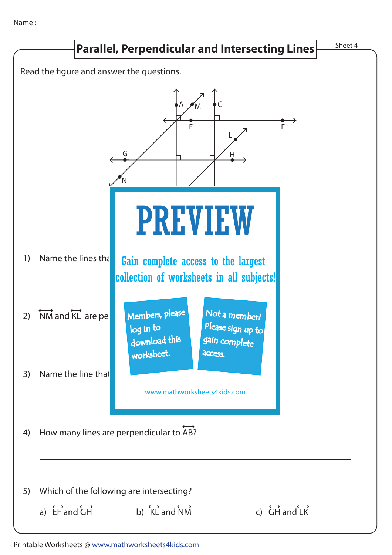